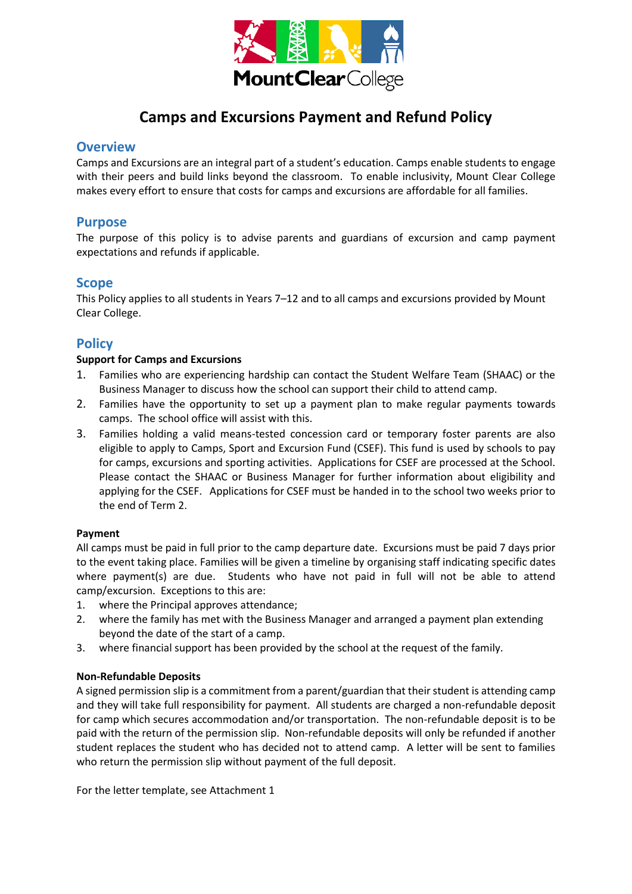

# **Camps and Excursions Payment and Refund Policy**

## **Overview**

Camps and Excursions are an integral part of a student's education. Camps enable students to engage with their peers and build links beyond the classroom. To enable inclusivity, Mount Clear College makes every effort to ensure that costs for camps and excursions are affordable for all families.

## **Purpose**

The purpose of this policy is to advise parents and guardians of excursion and camp payment expectations and refunds if applicable.

## **Scope**

This Policy applies to all students in Years 7–12 and to all camps and excursions provided by Mount Clear College.

## **Policy**

### **Support for Camps and Excursions**

- 1. Families who are experiencing hardship can contact the Student Welfare Team (SHAAC) or the Business Manager to discuss how the school can support their child to attend camp.
- 2. Families have the opportunity to set up a payment plan to make regular payments towards camps. The school office will assist with this.
- 3. Families holding a valid means-tested concession card or temporary foster parents are also eligible to apply to Camps, Sport and Excursion Fund (CSEF). This fund is used by schools to pay for camps, excursions and sporting activities. Applications for CSEF are processed at the School. Please contact the SHAAC or Business Manager for further information about eligibility and applying for the CSEF. Applications for CSEF must be handed in to the school two weeks prior to the end of Term 2.

## **Payment**

All camps must be paid in full prior to the camp departure date. Excursions must be paid 7 days prior to the event taking place. Families will be given a timeline by organising staff indicating specific dates where payment(s) are due. Students who have not paid in full will not be able to attend camp/excursion. Exceptions to this are:

- 1. where the Principal approves attendance;
- 2. where the family has met with the Business Manager and arranged a payment plan extending beyond the date of the start of a camp.
- 3. where financial support has been provided by the school at the request of the family.

#### **Non-Refundable Deposits**

A signed permission slip is a commitment from a parent/guardian that their student is attending camp and they will take full responsibility for payment. All students are charged a non-refundable deposit for camp which secures accommodation and/or transportation. The non-refundable deposit is to be paid with the return of the permission slip. Non-refundable deposits will only be refunded if another student replaces the student who has decided not to attend camp. A letter will be sent to families who return the permission slip without payment of the full deposit.

For the letter template, see Attachment 1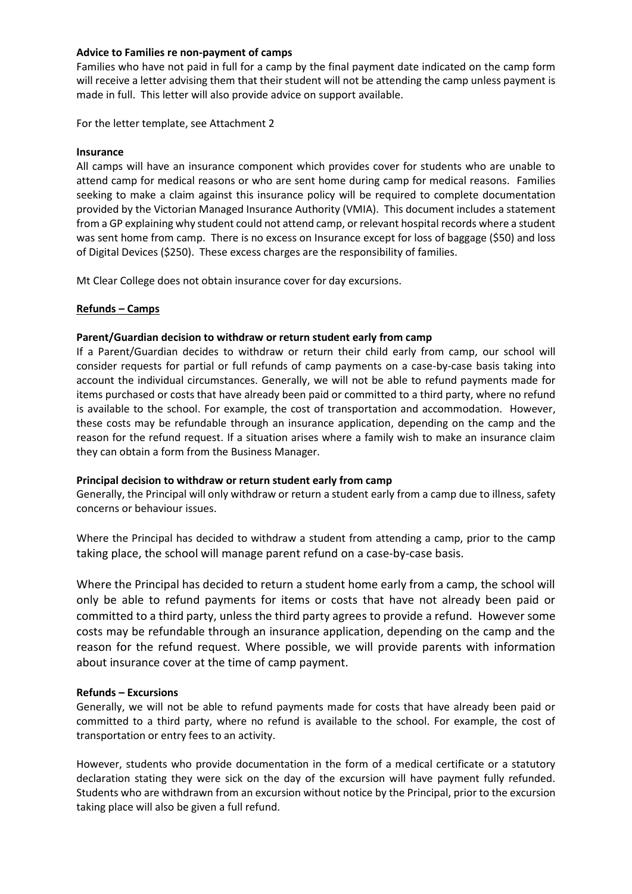#### **Advice to Families re non-payment of camps**

Families who have not paid in full for a camp by the final payment date indicated on the camp form will receive a letter advising them that their student will not be attending the camp unless payment is made in full. This letter will also provide advice on support available.

For the letter template, see Attachment 2

#### **Insurance**

All camps will have an insurance component which provides cover for students who are unable to attend camp for medical reasons or who are sent home during camp for medical reasons. Families seeking to make a claim against this insurance policy will be required to complete documentation provided by the Victorian Managed Insurance Authority (VMIA). This document includes a statement from a GP explaining why student could not attend camp, or relevant hospital records where a student was sent home from camp. There is no excess on Insurance except for loss of baggage (\$50) and loss of Digital Devices (\$250). These excess charges are the responsibility of families.

Mt Clear College does not obtain insurance cover for day excursions.

#### **Refunds – Camps**

#### **Parent/Guardian decision to withdraw or return student early from camp**

If a Parent/Guardian decides to withdraw or return their child early from camp, our school will consider requests for partial or full refunds of camp payments on a case-by-case basis taking into account the individual circumstances. Generally, we will not be able to refund payments made for items purchased or costs that have already been paid or committed to a third party, where no refund is available to the school. For example, the cost of transportation and accommodation. However, these costs may be refundable through an insurance application, depending on the camp and the reason for the refund request. If a situation arises where a family wish to make an insurance claim they can obtain a form from the Business Manager.

#### **Principal decision to withdraw or return student early from camp**

Generally, the Principal will only withdraw or return a student early from a camp due to illness, safety concerns or behaviour issues.

Where the Principal has decided to withdraw a student from attending a camp, prior to the camp taking place, the school will manage parent refund on a case-by-case basis.

Where the Principal has decided to return a student home early from a camp, the school will only be able to refund payments for items or costs that have not already been paid or committed to a third party, unless the third party agrees to provide a refund. However some costs may be refundable through an insurance application, depending on the camp and the reason for the refund request. Where possible, we will provide parents with information about insurance cover at the time of camp payment.

#### **Refunds – Excursions**

Generally, we will not be able to refund payments made for costs that have already been paid or committed to a third party, where no refund is available to the school. For example, the cost of transportation or entry fees to an activity.

However, students who provide documentation in the form of a medical certificate or a statutory declaration stating they were sick on the day of the excursion will have payment fully refunded. Students who are withdrawn from an excursion without notice by the Principal, prior to the excursion taking place will also be given a full refund.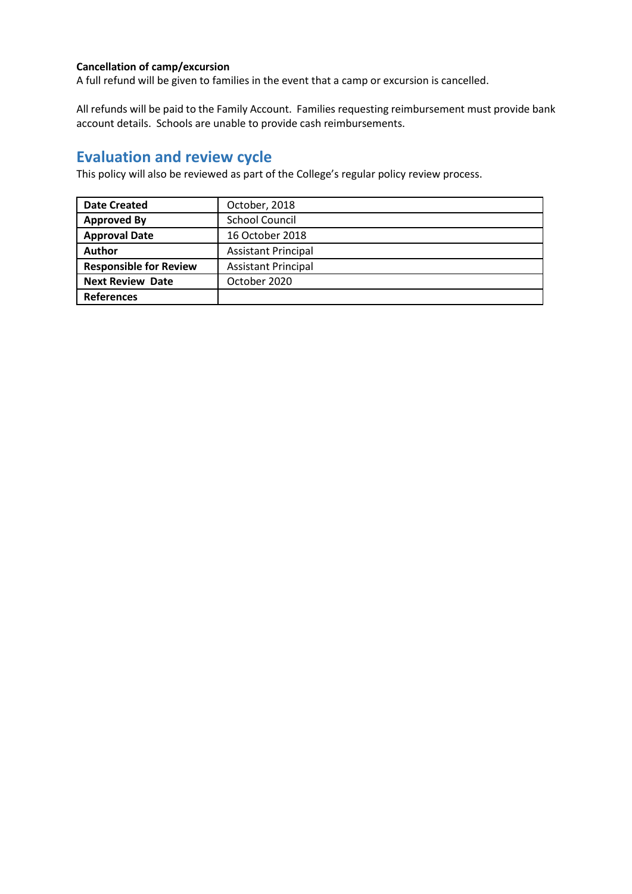## **Cancellation of camp/excursion**

A full refund will be given to families in the event that a camp or excursion is cancelled.

All refunds will be paid to the Family Account. Families requesting reimbursement must provide bank account details. Schools are unable to provide cash reimbursements.

## **Evaluation and review cycle**

This policy will also be reviewed as part of the College's regular policy review process.

| <b>Date Created</b>           | October, 2018              |
|-------------------------------|----------------------------|
| <b>Approved By</b>            | <b>School Council</b>      |
| <b>Approval Date</b>          | 16 October 2018            |
| Author                        | <b>Assistant Principal</b> |
| <b>Responsible for Review</b> | <b>Assistant Principal</b> |
| <b>Next Review Date</b>       | October 2020               |
| <b>References</b>             |                            |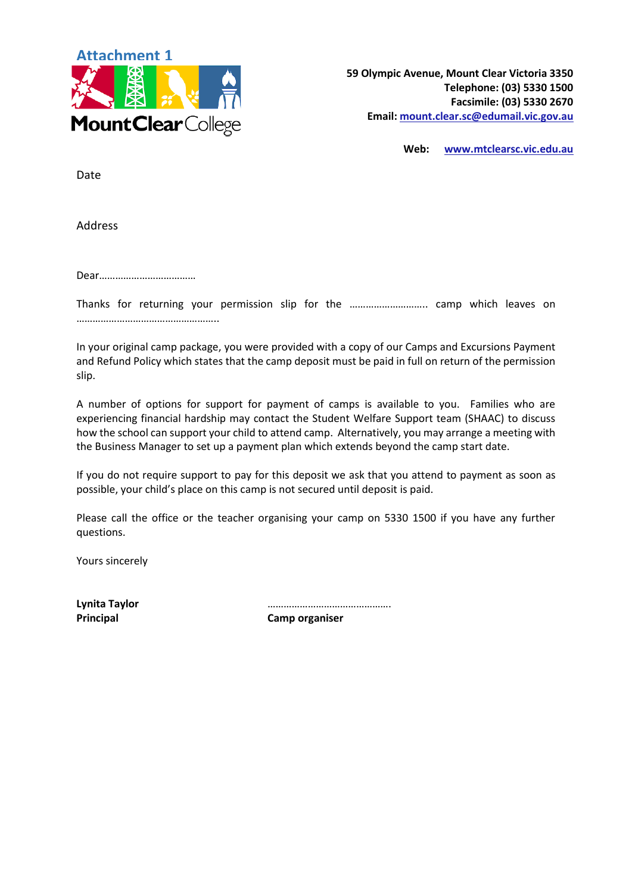

**Web: [www.mtclearsc.vic.edu.au](http://www.mtclearsc.vic.edu.au/)**

Date

Address

Dear………………………………

Thanks for returning your permission slip for the ……………………….. camp which leaves on ……………………………………………..

In your original camp package, you were provided with a copy of our Camps and Excursions Payment and Refund Policy which states that the camp deposit must be paid in full on return of the permission slip.

A number of options for support for payment of camps is available to you. Families who are experiencing financial hardship may contact the Student Welfare Support team (SHAAC) to discuss how the school can support your child to attend camp. Alternatively, you may arrange a meeting with the Business Manager to set up a payment plan which extends beyond the camp start date.

If you do not require support to pay for this deposit we ask that you attend to payment as soon as possible, your child's place on this camp is not secured until deposit is paid.

Please call the office or the teacher organising your camp on 5330 1500 if you have any further questions.

Yours sincerely

**Lynita Taylor** ……………………………………….

**Principal Camp organiser**